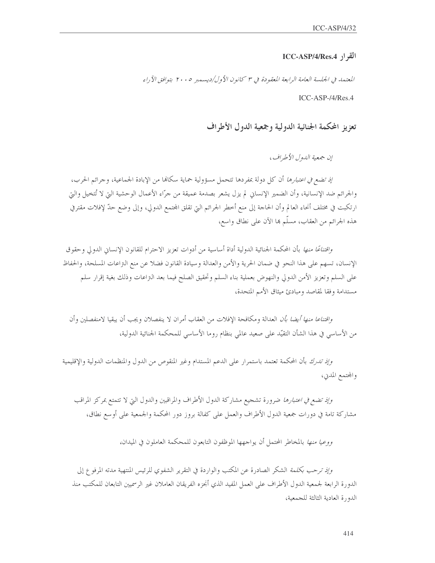$ICC-ASP/4/Res.4$  القرار

المعتمد في الجلسة العامة الرابعة المعقودة في ٣ كانون الأول/ديسمبر ٢٠٠٥ بتوافق الآراء

 $ICC-ASP-/4/Res.4$ 

تعزيز المحكمة الجنائية الدولية وجمعية الدول الأطراف

إن جمعية اللهول الأطراف،

إذ تضع في اعتبارها أن كل دولة بمفردها تتحمل مسؤولية حماية سكالها من الإبادة الجماعية، وجرائم الحرب، والجرائم ضد الإنسانية، وأن الضمير الإنساني لم يزل يشعر بصدمة عميقة من حرّاء الأعمال الوحشية التي لا تُتخيل والتي ارتكبت في مختلف أنحاء العالم وأن الحاجة إلى منع أخطر الجرائم التي تقلق المحتمع الدولي، وإلى وضع حدّ لإفلات مقترفي هذه الجرائم من العقاب، مسلَّم ها الآن على نطاق واسع،

*واقتناعًا منها* بأن المحكمة الجنائية الدولية أداة أساسية من أدوات تعزيز الاحترام للقانون الإنساني الدولي وحقوق الإنسان، تسهم على هذا النحو في ضمان الحرية والأمن والعدالة وسيادة القانون فضلا عن منع التزاعات المسلحة، والحفاظ على السلم وتعزيز الأمن الدولي والنهوض بعملية بناء السلم وتحقيق الصلح فيما بعد التراعات وذلك بغية إقرار سلم مستدامة وفقا لمقاصد ومبادئ ميثاق الأمم المتحدة،

*واقتناعا منها أيضا بأن* العدالة ومكافحة الإفلات من العقاب أمران لا ينفصلان ويجب أن يبقيا لامنفصلين وأن من الأساسي في هذا الشأن التقيّد على صعيد عالمي بنظام روما الأساسي للمحكمة الجنائية الدولية،

*وإذ تدرك* بأن المحكمة تعتمد باستمرار على الدعم المستدام وغير المنقوص من الدول والمنظمات الدولية والإقليمية والمحتمع المدني،

وإذ تضع في اعتبارها ضرورة تشجيع مشاركة الدول الأطراف والمراقبين والدول التي لا تتمتع بمركز المراقب مشاركة تامة في دورات جمعية الدول الأطراف والعمل على كفالة بروز دور المحكمة والجمعية على أوسع نطاق،

*ووعيا منها* بالمخاطر المحتمل أن يواجهها الموظفون التابعون للمحكمة العاملون في الميدان،

وإذ ترحب بكلمة الشكر الصادرة عن المكتب والواردة في التقرير الشفوي للرئيس المنتهية مدته المرفوع إلى الدورة الرابعة لجمعية الدول الأطراف على العمل المفيد الذي أنجزه الفريقان العاملان غير الرسميين التابعان للمكتب منذ الدورة العادية الثالثة للجمعية،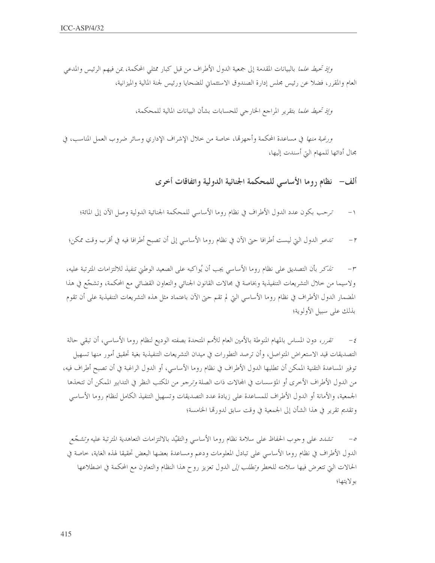*وإذ تحيط علما* بالبيانات المقدمة إلى جمعية الدول الأطراف من قبل كبار ممثلي المحكمة، بمن فيهم الرئيس والمدعى العام والمقرر، فضلاً عن رئيس مجلس إدارة الصندوق الاستئماني للضحايا ورئيس لجنة المالية والميزانية،

وإذ تحيط علما بتقرير المراجع الخارجي للحسابات بشأن البيانات المالية للمحكمة،

ورغبة *منها* في مساعدة المحكمة وأجهزها، خاصة من خلال الإشراف الإداري وسائر ضروب العمل المناسب، في مجال أدائها للمهام التي أسندت إليها،

ألف- نظام روما الأساسي للمحكمة الجنائية الدولية واتفاقات أخرى

- ترحب بكون عدد الدول الأطراف في نظام روما الأساسي للمحكمة الجنائية الدولية وصل الآن إلى المائة؛  $-1$
- تدعو الدول التي ليست أطرافا حتى الآن في نظام روما الأساسي إلى أن تصبح أطرافا فيه في أقرب وقت ممكن؛  $-1$

تذكر بأن التصديق على نظام روما الأساسي يجب أن يُواكبه على الصعيد الوطني تنفيذ للالتزامات المترتبة عليه،  $- r$ ولاسيما من حلال التشريعات التنفيذية وبخاصة في مجالات القانون الجنائي والتعاون القضائي مع المحكمة، وتشجّع في هذا المضمار الدول الأطراف في نظام روما الأساسي التي لم تقم حتى الآن باعتماد مثل هذه التشريعات التنفيذية على أن تقوم بذلك على سبيل الأولوية؛

تقرر، دون المساس بالمهام المنوطة بالأمين العام للأمم المتحدة بصفته الوديع لنظام روما الأساسي، أن تبقى حالة  $-\xi$ التصديقات قيد الاستعراض المتواصل، وأن ترصد التطورات في ميدان التشريعات التنفيذية بغية تحقيق أمور منها تسهيل توفير المساعدة التقنية الممكن أن تطلبها الدول الأطراف في نظام روما الأساسي، أو الدول الراغبة في أن تصبح أطراف فيه، من الدول الأطراف الأخرى أو المؤسسات في المحالات ذات الصلة *وتر*جو من المكتب النظر في التدابير الممكن أن تتخذها الجمعية، والأمانة أو الدول الأطراف للمساعدة على زيادة عدد التصديقات وتسهيل التنفيذ الكامل لنظام روما الأساسي وتقديم تقرير في هذا الشأن إلى الجمعية في وقت سابق لدورتها الخامسة؛

تشدد على وجوب الحفاظ على سلامة نظام روما الأساسي والتقيّد بالالتزامات التعاهدية المترتبة عليه *وتشجّع* الدول الأطراف في نظام روما الأساسي على تبادل المعلومات ودعم ومساعدة بعضها البعض تحقيقا لهذه الغاية، حاصة في الحالات التي تتعرض فيها سلامته للخطر *وتطلب إلى* الدول تعزيز روح هذا النظام والتعاون مع المحكمة في اضطلاعها بو لايتها؛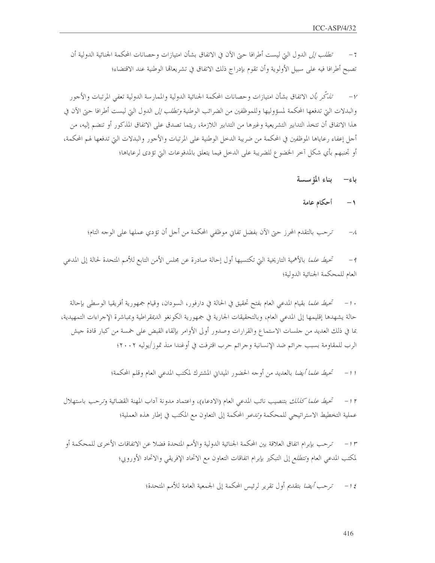ت*طلب إلى* الدول التي ليست أطرافا حتى الآن في الاتفاق بشأن امتيازات وحصانات المحكمة الجنائية الدولية أن  $-7$ تصبح أطرافا فيه على سبيل الأولوية وأن تقوم بإدراج ذلك الاتفاق في تشريعالها الوطنية عند الاقتضاء؛

تذكّر بأن الاتفاق بشأن امتيازات وحصانات المحكمة الجنائية الدولية والممارسة الدولية تعفي المرتبات والأجور  $-\nu$ والبدلات التي تدفعها المحكمة لمسؤوليها وللموظفين من الضرائب الوطنية *وتطلب إلى* الدول التي ليست أطرافا حتى الآن في هذا الاتفاق أن تتخذ التدابير التشريعية وغيرها من التدابير اللازمة، ريثما تصدق على الاتفاق المذكور أو تنضم إليه، من أجل إعفاء رعاياها الموظفين في المحكمة من ضريبة الدحل الوطنية على المرتبات والأجور والبدلات التي تدفعها لهم المحكمة، أو تحنبهم بأي شكل آخر الخضوع للضريبة على الدخل فيما يتعلق بالمدفوعات التي تؤدي لرعاياها؛

- بناء المؤسسة ياءِ—
- أحكام عامة  $-1$
- ترحب بالتقدم المحرز حبَّ الآن بفضل تفاي موظفي المحكمة من أجل أن تؤدي عملها على الوحه التام؛  $-\lambda$

تحي*ط علما* بالأهمية التاريخية التي تكتسيها أول إحالة صادرة عن مجلس الأمن التابع للأمم المتحدة لحالة إلى المدعى  $-9$ العام للمحكمة الجنائية الدولية؛

· 1- تحيط علما بقيام المدعى العام بفتح تحقيق في الحالة في دارفور، السودان، وقيام جمهورية أفريقيا الوسطى بإحالة حالة يشهدها إقليمها إلى المدعى العام، وبالتحقيقات الجارية في جمهورية الكونغو الديمقراطية وبمباشرة الإجراءات التمهيدية، بما في ذلك العديد من حلسات الاستماع والقرارات وصدور أولى الأوامر بإلقاء القبض على خمسة من كبار قادة حيش الرب للمقاومة بسبب جرائم ضد الإنسانية وجرائم حرب اقترفت في أوغندا منذ تموز/يوليه ٢٠٠٢؛

> تحي*ط علما أيضا* بالعديد من أوحه الحضور الميداني المشترك لمكتب المدعى العام وقلم المحكمة؛  $-1$

تحيط علما كللك بتنصيب نائب المدعى العام (الادعاء)، واعتماد مدونة أداب المهنة القضائية وترحب باستهلال  $-1<sup>r</sup>$ عملية التخطيط الاستراتيجي للمحكمة *وتدعو* المحكمة إلى التعاون مع المكتب في إطار هذه العملية؛

١٣ – ترحب بإبرام اتفاق العلاقة بين المحكمة الجنائية الدولية والأمم المتحدة فضلا عن الاتفاقات الأخرى للمحكمة أو لمكتب المدعى العام وتتطلع إلى التبكير بإبرام اتفاقات التعاون مع الاتحاد الإفريقي والاتحاد الأوروبي؛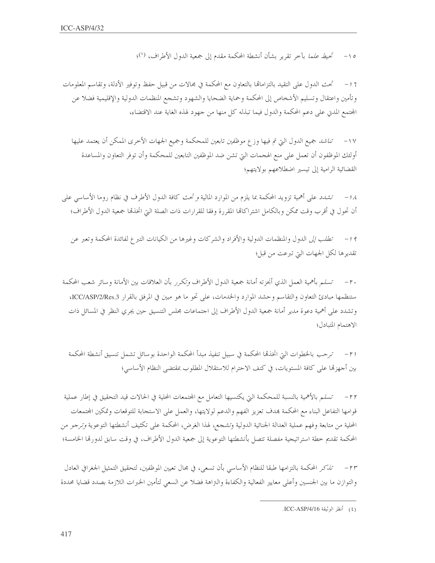٥١– تحيط علما بآخر تقرير بشأن أنشطة المحكمة مقدم إلى جمعية الدول الأطراف، (')؛

7 1 – للتحث الدول على التقيد بالتزاماتما بالتعاون مع المحكمة في مجالات من قبيل حفظ وتوفير الأدلة، وتقاسم المعلومات وتأمين واعتقال وتسليم الأشخاص إلى المحكمة وحماية الضحايا والشهود وتشجع المنظمات الدولية والإقليمية فضلا عن المحتمع المدن على دعم المحكمة والدول فيما تبذله كل منها من جهود لهذه الغاية عند الاقتضاء،

١٧ – *تناشد* جميع الدول التي تم فيها وز ع موظفين تابعين للمحكمة وجميع الجهات الأخرى الممكن أن يعتمد عليها أولئك الموظفون أن تعمل على منع الهجمات التي تشن ضد الموظفين التابعين للمحكمة وأن توفر التعاون والمساعدة القضائية الرامية إلى تيسير اضطلاعهم بولايتهم؛

1⁄4 − تش*دد* على أهمية تزويد المحكمة بما يلزم من الموارد المالية *و تحث* كافة الدول الأطرف في نظام روما الأساسي على أن تحول في أقرب وقت ممكن وبالكامل اشتراكاتما المقررة وفقا للقرارات ذات الصلة التي اتخذها جمعية الدول الأطراف؛

19 – *تطلب إلى* الدول والمنظمات الدولية والأفراد والشركات وغيرها من الكيانات التبرع لفائدة المحكمة وتعبر عن تقديرها لكل الجهات التي تبرعت من قبل؛

٢٠ – تسلم بأهمية العمل الذي أنجزته أمانة جمعية الدول الأطراف *وتكرر* بأن العلاقات بين الأمانة وسائر شعب المحكمة ستنظمها مبادئ التعاون والتقاسم وحشد الموارد والخدمات، على تحو ما هو مبين في المرفق بالقرار ICC/ASP/2/Res.3، وتشدد على أهمية دعوة مدير أمانة جمعية الدول الأطراف إلى احتماعات مجلس التنسيق حين يجرى النظر في المسائل ذات الاهتمام المتبادل؛

r ا – ترحب بالخطوات التي اتخذها المحكمة في سبيل تنفيذ مبدأ المحكمة الواحدة بوسائل تشمل تنسيق أنشطة المحكمة بين أجهزتما على كافة المستويات، في كنف الاحترام للاستقلال المطلوب بمقتضى النظام الأساسي؛

٢٢ – تسلم بالأهمية بالنسبة للمحكمة التي يكتسيها التعامل مع المحتمعات المحلية في الحالات قيد التحقيق في إطار عملية قوامها التفاعل البناء مع المحكمة بمدف تعزيز الفهم والدعم لولايتها، والعمل على الاستجابة للتوقعات وتمكين المحتمعات المحلية من متابعة وفهم عملية العدالة الجنائية الدولية وتشجع، لهذا الغرض، المحكمة على تكثيف أنشطتها التوعوية *وترجو* من المحكمة تقديم حطة استراتيجية مفصلة تتصل بأنشطتها التوعوية إلى جمعية الدول الأطراف، في وقت سابق لدورتما الخامسة؛

٢٣ – تذكر المحكمة بالتزامها طبقا للنظام الأساسي بأن تسعى، في مجال تعيين الموظفين، لتحقيق التمثيل الجغرافي العادل والتوازن ما بين الجنسين وأعلى معايير الفعالية والكفاءة والنزاهة فضلا عن السعى لتأمين الخبرات اللازمة بصدد قضايا محددة

<sup>(</sup>٤) أَنظَرِ الوِثْيِقَةِ ICC-ASP/4/16.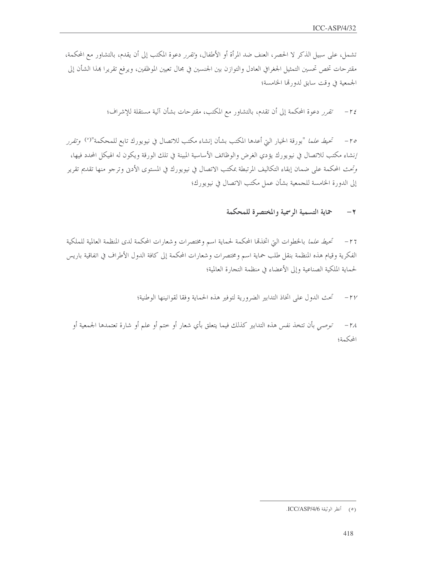تشمل، على سبيل الذكر لا الحصر، العنف ضد المرأة أو الأطفال، وتقرر دعوة المكتب إلى أن يقدم، بالتشاور مع المحكمة، مقترحات تخص تحسين التمثيل الجغرافي العادل والتوازن بين الجنسين في مجال تعيين الموظفين، ويرفع تقريرا بمذا الشأن إلى الجمعية في وقت سابق لدورتما الخامسة؛

٢٤ – تقرر دعوة المحكمة إلى أن تقدم، بالتشاور مع المكتب، مقترحات بشأن آلية مستقلة للإشراف؛

٢٥ – تحيط علما "بورقة الخيار التي أعدها المكتب بشأن إنشاء مكتب للاتصال في نيويورك تابع للمحكمة"<sup>(٥)</sup> وتقرر إنشاء مكتب للاتصال في نيويورك يؤدي الغرض والوظائف الأساسية المبينة في تلك الورقة ويكون له الهيكل المحدد فيها، وتحت المحكمة على ضمان إبقاء التكاليف المرتبطة بمكتب الاتصال في نيويورك في المستوى الأدبي وترجو منها تقديم تقرير إلى الدورة الخامسة للجمعية بشأن عمل مكتب الاتصال في نيويورك؛

#### حماية التسمية الرسمية والمختصرة للمحكمة  $-\tau$

٢٦ – تحيط علما بالخطوات التي اتخذها المحكمة لحماية اسم ومختصرات وشعارات المحكمة لدى المنظمة العالمية للملكية الفكرية وقيام هذه المنظمة بنقل طلب حماية اسم ومختصرات وشعارات المحكمة إلى كافة الدول الأطراف في اتفاقية باريس لحماية الملكية الصناعية وإلى الأعضاء في منظمة التجارة العالمية؛

> تحت الدول على اتخاذ التدابير الضرورية لتوفير هذه الحماية وفقا لقوانينها الوطنية؛  $-\gamma\gamma$

توصى بأن تتخذ نفس هذه التدابير كذلك فيما يتعلق بأي شعار أو حتم أو علم أو شارة تعتمدها الجمعية أو  $-11$ المحكمة؛

<sup>(</sup>٥) أنظر الوثيقة ICC/ASP/4/6.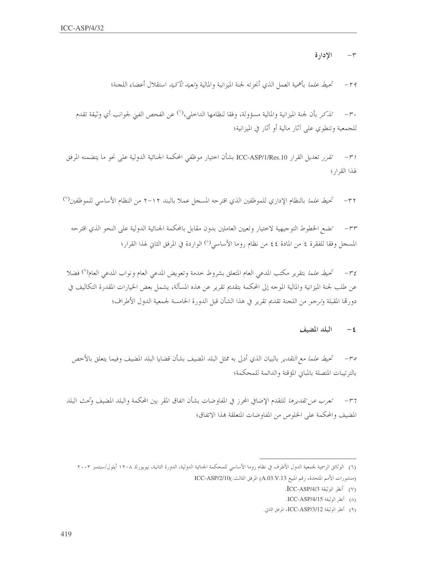الإدارة  $-\tau$ 

تحي*ط علما* بأهمية العمل الذي أبحزته لجنة الميزانية والمالية و*تعيد تأكيد* استقلال أعضاء اللجنة؛  $-19$ 

تلدكر بأن لجنة الميزانية والمالية مسؤولة، وفقا لنظامها الداخلي،(``) عن الفحص الفني لجوانب أي وثيقة تقدم  $-r$ . للجمعية وتنطوي على آثار مالية أو أثار في الميزانية؛

ا٣− تقرر تعديل القرار ICC-ASP/1/Res.10 بشأن اختيار موظفي المحكمة الجنائية الدولية على نحو ما يتضمنه المرفق لهذا القرار؛

تحي*ط علما* بالنظام الإداري للموظفين الذي اقترحه المسجل عملا بالبند ٢١٢م من النظام الأساسي للموظفين'')  $-\tau\tau$ 

٣٣- تضع الخطوط التوجيهية لاختيار وتعيين العاملين بدون مقابل بالمحكمة الجنائية الدولية على النحو الذي اقترحه المسجل وفقا للفقرة ٤ من المادة ٤٤ من نظام روما الأساسي(^) الواردة في المرفق الثاني لهذا القرار؛

r's – تحيط *علما* بتقرير مكتب المدعى العام المتعلق بشروط خدمة وتعويض المدعى العام ونواب المدعى العام<sup>4)</sup> فضلا عن طلب لجنة الميزانية والمالية الموجه إلى المحكمة بتقديم تقرير عن هذه المسألة، يشمل بعض الخيارات المقدرة التكاليف في دورقما المقبلة وترجو من اللجنة تقديم تقرير في هذا الشأن قبل الدورة الخامسة لجمعية الدول الأطراف؛

> البلد المضيف  $-\xi$

ص – تحيط *علما مع التقدير* بالبيان الذي أدلى به ممثل البلد المضيف بشأن قضايا البلد المضيف وفيما يتعلق بالأخص بالترتيبات المتصلة بالمبابي المؤقتة والدائمة للمحكمة؛

٣٦ – تعر*ب عن تقديرها* للتقدم الإضافي المحرز في المفاوضات بشأن اتفاق المقر بين المحكمة والبلد المضيف و*تحث* البلد المضيف والمحكمة على الخلوص من المفاوضات المتعلقة بمذا الاتفاق؛

<sup>(</sup>٦) الوثائق الرسمية لجمعية الدول الأطرف في نظام روما الأساسي للمحكمة الجنائية الدولية، الدورة الثانية، نيويورك ٨-١٢ أيلول/سبتمبر ٢٠٠٣

<sup>(</sup>منشورات الأمم المتحدة، رقم المبيع A.03.V.13) المرفق الثالث.)ICC-ASP/2/10

<sup>(</sup>٧) أنظر الوثيقة ICC-ASP/4/3.

<sup>(</sup>٨) أنظر الوثيقة ICC-ASP/4/15.

<sup>(</sup>٩) أنظر الوثيقة ICC-ASP/3/12، المرفق الثاني.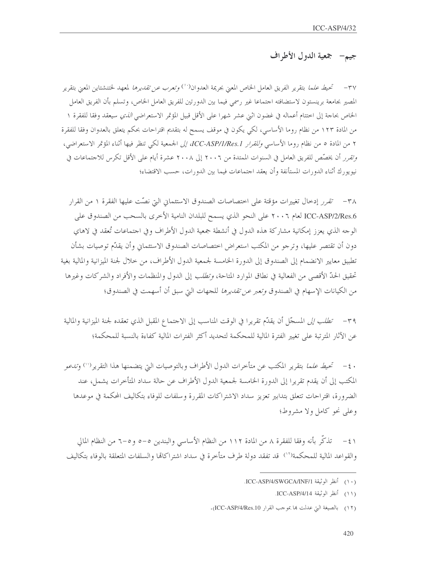# جيم— جمعية الدول الأطراف

٣٧ – تحي*ط علما* بتقرير الفريق العامل الخاص المعنى بجريمة العدوان<sup>(٠)</sup> *وتعرب عن تقديرها* لمعهد لختنشتاين المعنى بتقرير المصير بجامعة برينستون لاستضافته احتماعا غير رسمي فيما بين الدورتين للفريق العامل الخاص، وتسلم بأن الفريق العامل الخاص بحاجة إلى اختتام أعماله في غضون اثني عشر شهرا على الأقل قبيل المؤتمر الاستعراضى *الذي* سيعقد وفقا للفقرة ١ من المادة ١٢٣ من نظام روما الأساسي، لكي يكون في موقف يسمح له بتقديم اقتراحات بحكم يتعلق بالعدوان وفقا للفقرة ٢ من المادة ٥ من نظام روما الأساسي *وللقرار ICC-ASP/1/Res.1، إلى* الجمعية لكي تنظر فيها أثناء المؤتمر الاستعراضي، وتقرر أن يخصِّص للفريق العامل في السنوات الممتدة من ٢٠٠٦ إلى ٢٠٠٨ عشرة أيام على الأقل تكرس للاجتماعات في نيويورك أثناء الدورات المستأنفة وأن يعقد احتماعات فيما بين الدورات، حسب الاقتضاء؛

٣٨ - تقرر إدخال تغييرات مؤقتة على اختصاصات الصندوق الاستئماني التي نصّت عليها الفقرة ١ من القرار ICC-ASP/2/Res.6 لعام ٢٠٠٦ على النحو الذي يسمح للبلدان النامية الأخرى بالسحب من الصندوق على الوجه الذي يعزز إمكانية مشاركة هذه الدول في أنشطة جمعية الدول الأطراف وفي اجتماعات تُعقد في لاهاي دون أن تقتصر عليها، وترجو من المكتب استعراض اختصاصات الصندوق الاستئماني وأن يقدّم توصيات بشأن تطبيق معايير الانضمام إلى الصندوق إلى الدورة الخامسة لجمعية الدول الأطراف، من خلال لجنة الميزانية والمالية بغية تحقيق الحدّ الأقصى من الفعالية في نطاق الموارد المتاحة، *وتطلب* إلى الدول والمنظمات والأفراد والشركات وغيرها من الكيانات الإسهام في الصندوق *وتعبر عن تقديرها* للجهات التي سبق أن أسهمت في الصندوق؛

٣٩ – *تطلب إلى* المسجّل أن يقدّم تقريرا في الوقت المناسب إلى الاجتماع المقبل الذي تعقده لجنة الميزانية والمالية عن الآثار المترتبة على تغيير الفترة المالية للمحكمة لتحديد أكثر الفترات المالية كفاءة بالنسبة للمحكمة؛

· ٤- تحيط *علما* بتقرير المكتب عن متأخرات الدول الأطراف وبالتوصيات التي يتضمنها هذا التقرير<sup>(١٠)</sup> و*تدعو* المكتب إلى أن يقدم تقريرا إلى الدورة الخامسة لجمعية الدول الأطراف عن حالة سداد المتأحرات يشمل، عند الضرورة، اقتراحات تتعلق بتدابير تعزيز سداد الاشتراكات المقررة وسلفات للوفاء بتكاليف المحكمة في موعدها وعلى نحو كامل ولا مشروط؛

٤١ – تذكَّر بأنه وفقا للفقرة ٨ من المادة ١١٢ من النظام الأساسي والبندين ٥–٥ و ٥–٦ من النظام المالي والقواعد المالية للمحكمة(``) قد تفقد دولة طرف متأخرة في سداد اشتراكاتما والسلفات المتعلقة بالوفاء بتكاليف

(١٢) بالصيغة التي عدلت ها بموجب القرار ICC-ASP/4/Res.10).

<sup>(</sup>١٠) أنظر الوثيقة ICC-ASP/4/SWGCA/INF/1.

<sup>(</sup>١١) أنظر الوثيقة ICC-ASP/4/14.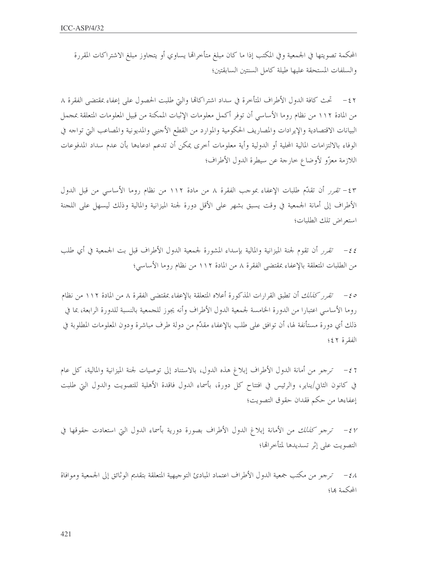المحكمة تصويتها في الجمعية وفي المكتب إذا ما كان مبلغ متأخرالها يساوي أو يتحاوز مبلغ الاشتراكات المقررة والسلفات المستحقة عليها طيلة كامل السنتين السابقتين؛

٤٢ – تحث كافة الدول الأطراف المتأخرة في سداد اشتراكاها والتي طلبت الحصول على إعفاء بمقتضى الفقرة ٨ من المادة ١١٢ من نظام روما الأساسي أن توفر أكمل معلومات الإثبات الممكنة من قبيل المعلومات المتعلقة بمحمل البيانات الاقتصادية والإيرادات والمصاريف الحكومية والموارد من القطع الأحنبي والمديونية والمصاعب التي تواحه في الوفاء بالالتزامات المالية المحلية أو الدولية وأية معلومات أخرى يمكن أن تدعم ادعاءها بأن عدم سداد المدفوعات اللازمة معزّو لأوضاع خارجة عن سيطرة الدول الأطراف؛

٤٣= تقرر أن تقدَّم طلبات الإعفاء بموجب الفقرة ٨ من مادة ١١٢ من نظام روما الأساسي من قبل الدول الأطراف إلى أمانة الجمعية في وقت يسبق بشهر على الأقل دورة لجنة الميزانية والمالية وذلك ليسهل على اللحنة استع اض تلك الطلبات؛

٤٤– تقرر أن تقوم لجنة الميزانية والمالية بإسداء المشورة لجمعية الدول الأطراف قبل بت الجمعية في أي طلب من الطلبات المتعلقة بالإعفاء بمقتضى الفقرة ٨ من المادة ١١٢ من نظام روما الأساسي؛

ص = تقرر كنالك أن تطبق القرارات المذكورة أعلاه المتعلقة بالإعفاء بمقتضى الفقرة ٨ من المادة ١١٢ من نظام روما الأساسي اعتبارا من الدورة الخامسة لجمعية الدول الأطراف وأنه يجوز للجمعية بالنسبة للدورة الرابعة، بما في ذلك أي دورة مستأنفة لها، أن توافق على طلب بالإعفاء مقدَّم من دولة طرف مباشرة ودون المعلومات المطلوبة في الفقرة ٤٤٢

z z — ترجو من أمانة الدول الأطراف إبلاغ هذه الدول، بالاستناد إلى توصيات لجنة الميزانية والمالية، كل عام في كانون الثاني/يناير، والرئيس في افتتاح كل دورة، بأسماء الدول فاقدة الأهلية للتصويت والدول التي طلبت إعفاءها من حكم فقدان حقوق التصويت؛

٤٧ - ترجو كذلك من الأمانة إبلاغ الدول الأطراف بصورة دورية بأسماء الدول التي استعادت حقوقها في التصويت على إثر تسديدها لمتأخرالها؛

٤٨ – ترجم من مكتب جمعية الدول الأطراف اعتماد المبادئ التوجيهية المتعلقة بتقديم الوثائق إلى الجمعية وموافاة المحكمة ها؛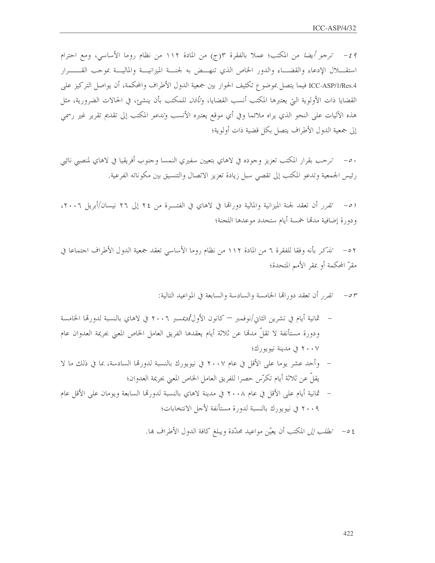43- ترجو أيضًا من المكتب؛ عملاً بالفقرة ٣(ج) من المادة ١١٢ من نظام روما الأساسي، ومع احترام استقــــلال الإدعاء والقضــــاء والدور الخاص الذي تنهـــض به لجنــــة الميزانيــــة والماليــــة بموجب القـــــــرار ICC-ASP/1/Res.4 فيما يتصل بموضوع تكثيف الحوار بين جمعية الدول الأطراف والمحكمة، أن يواصل التركيز على القضايا ذات الأولوية التي يعتبرها المكتب أنسب القضايا، و*تأذن* للمكتب بأن ينشئ، في الحالات الضرورية، مثل هذه الآليات على النحو الذي يراه ملائما وفي أي موقع يعتبره الأنسب و*تدعو* المكتب إلى تقديم تقرير غير رسمى إلى جمعية الدول الأطراف يتصل بكل قضية ذات أولوية؛

. ٥- ترحب بقرار المكتب تعزيز وجوده في لاهاي بتعيين سفيري النمسا وجنوب أفريقيا في لاهاي لمنصبي نائبي رئيس الجمعية وتدعو المكتب إلى تقصى سبل زيادة تعزيز الاتصال والتنسيق بين مكوناته الفرعية.

ا ٥– تقرر أن تعقد لجنة الميزانية والمالية دوراقما في لاهاي في الفتـــرة من ٢٤ إلى ٢٦ نيسان/أبريل ٢٠٠٦، ودورة إضافية مدقما حمسة أيام ستحدد موعدها اللجنة؛

٥٢ – تذكر بأنه وفقا للفقرة ٦ من المادة ١١٢ من نظام روما الأساسي تعقد جمعية الدول الأطراف احتماعا في مقرّ المحكمة أو بمقر الأمم المتحدة؛

٥٣ – تقرر أن تعقد دورالها الخامسة والسادسة والسابعة في المواعيد التالية:

- ثمانية أيام في تشرين الثاني/نوفمبر كانون الأول/ديمسبر ٢٠٠٦ في لاهاي بالنسبة لدورتما الخامسة ودورة مستأنفة لا تقلُّ مدمَّا عن ثلاثة أيام يعقدها الفريق العامل الخاص المعنى بجريمة العدوان عام ٢٠٠٧ في مدينة نيويو, كَ؛
- وأحد عشر يوما على الأقل في عام ٢٠٠٧ في نيويورك بالنسبة لدورهّا السادسة، بما في ذلك ما لا يقلُّ عن ثلاثة أيام تكرَّس حصرا للفريق العامل الخاص المعنى بجريمة العدوان؛
- ٢٠٠٩ في نيويورك بالنسبة لدورة مستأنفة لأجل الانتخابات؛

٤ ٥ – *تطلب إلى* المكتب أن يعيّن مواعيد محدّدة ويبلغ كافة الدول الأطراف ها.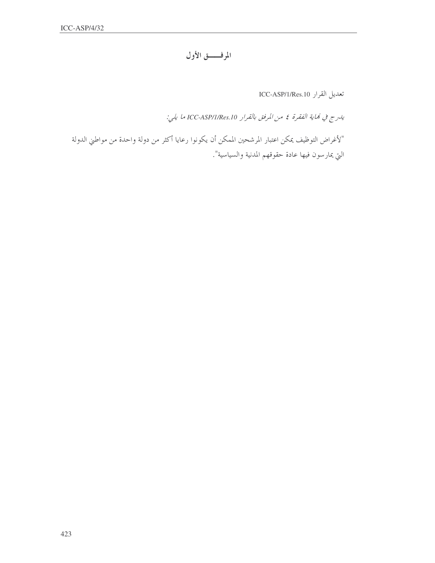## المرفـــــق الأول

تعديل القرار ICC-ASP/1/Res.10

يدرج في مُاية الفقرة في من المرفق بالقرار ICC-ASP/I/Res.10 ما يلي:

"لأغراض التوظيف يمكن اعتبار المرشحين الممكن أن يكونوا رعايا أكثر من دولة واحدة من مواطني الدولة التي يمارسون فيها عادة حقوقهم المدنية والسياسية".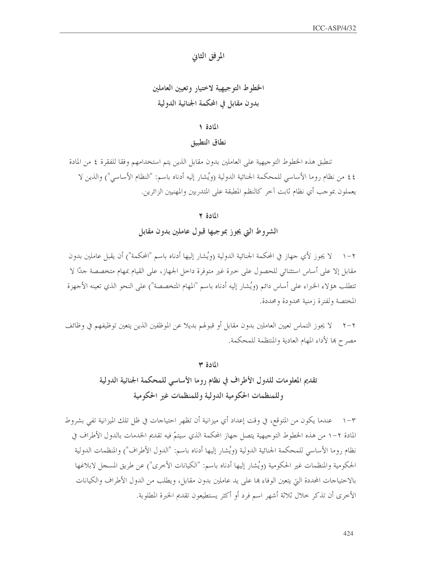المرفق الثانى

# الخطوط التوجيهية لاختيار وتعيين العاملين بدون مقابل في المحكمة الجنائية الدولية

### المادة ١

نطاق التطبيق

تنطبق هذه الخطوط التو جيهية على العاملين بدون مقابل الذين يتم استخدامهم وفقا للفقرة ٤ من المادة ٤٤ من نظام روما الأساسي للمحكمة الجنائية الدولية (ويُشار إليه أدناه باسم: "النظام الأساسي") والذين لا يعملون بموجب أي نظام ثابت آخر كالنظم المطبقة على المتدربين والمهنيين الزائرين.

#### المادة ٢

### الشروط التي يجوز بموجبها قبول عاملين بدون مقابل

٢–١ لا يجوز لأي حهاز في المحكمة الجنائية الدولية (ويُشار إليها أدناه باسم "المحكمة") أن يقبل عاملين بدون مقابل إلا على أساس استثنائي للحصول على حبرة غير متوفرة داحل الجهاز، على القيام بمهام متخصصة حدًّا لا تتطلب هؤ لاء الخبراء على أساس دائم (ويُشار إليه أدناه باسم "المهام المتخصصة") على النحو الذي تعينه الأجهزة المختصة ولفترة زمنية محدودة ومحددة.

٢–٢ لا يجوز التماس تعيين العاملين بدون مقابل أو قبولهم بديلا عن الموظفين الذين يتعين توظيفهم في وظائف مصرح ها لأداء المهام العادية والمنتظمة للمحكمة.

### المادة ٣

# تقديم المعلومات للدول الأطراف في نظام روما الأساسي للمحكمة الجنائية الدولية وللمنظمات الحكومية الدولية وللمنظمات غير الحكومية

٣–١ عندما يكون من المتوقع، في وقت إعداد أي ميزانية أن تظهر احتياحات في ظل تلك الميزانية تفي بشروط المادة ٢–١ من هذه الخطوط التوجيهية يتصل جهاز المحكمة الذي سيتمّ فيه تقديم الخدمات بالدول الأطراف في نظام روما الأساسي للمحكمة الجنائية الدولية (ويُشار إليها أدناه باسم: "الدول الأطراف") والمنظمات الدولية الحكومية والمنظمات غير الحكومية (ويُشار إليها أدناه باسم: "الكيانات الأخرى") عن طريق المسجل لابلاغها بالاحتياجات المحددة التي يتعين الوفاء ها على يد عاملين بدون مقابل، ويطلب من الدول الأطراف والكيانات الأخرى أن تذكر حلال ثلاثة أشهر اسم فرد أو أكثر يستطيعون تقديم الخبرة المطلوبة.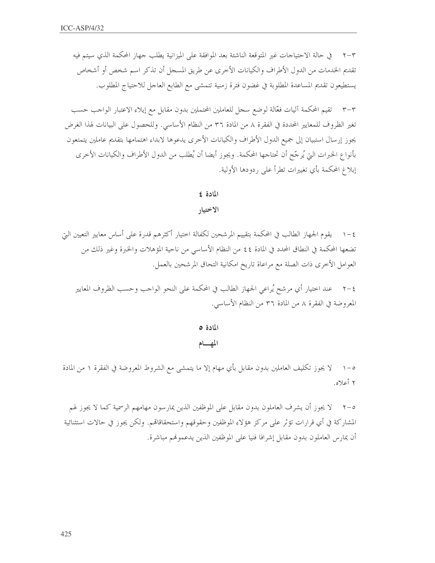في حالة الاحتياجات غير المتوقعة الناشئة بعد الموافقة على الميزانية يطلب حهاز المحكمة الذي سيتم فيه  $\tau - \tau$ تقديم الخدمات من الدول الأطراف والكيانات الأخرى عن طريق المسجل أن تذكر اسم شخص أو أشخاص يستطيعون تقديم المساعدة المطلوبة في غضون فترة زمنية تتمشى مع الطابع العاجل للاحتياج المطلوب.

٣–٣ تقيم المحكمة آليات فعَّالة لوضع سجل للعاملين المحتملين بدون مقابل مع إيلاء الاعتبار الواجب حسب تغير الظروف للمعايير المحددة في الفقرة ٨ من المادة ٣٦ من النظام الأساسي. وللحصول على البيانات لهذا الغرض يجوز إرسال استبيان إلى جميع الدول الأطراف والكيانات الأخرى يدعوها لابداء اهتمامها بتقديم عاملين يتمتعون بأنواع الخبرات التي يُرجّح أن تحتاجها المحكمة. ويجوز أيضا أن يُطلب من الدول الأطراف والكيانات الأخرى إبلاغ المحكمة بأي تغييرات تطرأ على ردودها الأولية.

#### المادة ٤

الاختيار

٤ – ١ – يقوم الجهاز الطالب في المحكمة بتقييم المرشحين لكفالة اختيار أكثرهم قدرة على أساس معايير التعيين التي تضعها المحكمة في النطاق المحدد في المادة ٤٤ من النظام الأساسي من ناحية المؤهلات والخبرة وغير ذلك من العوامل الأخرى ذات الصلة مع مراعاة تاريخ امكانية التحاق المرشحين بالعمل.

عند اختيار أي مرشح يُراعي الجهاز الطالب في المحكمة على النحو الواحب وحسب الظروف المعايير  $\tau - \epsilon$ المعروضة في الفقرة ٨ من المادة ٣٦ من النظام الأساسي.

> المادة ٥ المهام

٥–١ لا يجوز تكليف العاملين بدون مقابل بأي مهام إلا ما يتمشى مع الشروط المعروضة في الفقرة ١ من المادة ۲ أعلاه.

٥–٢ لا يجوز أن يشرف العاملون بدون مقابل على الموظفين الذين يمارسون مهامهم الرسمية كما لا يجوز لهم المشاركة في أي قرارات تؤثر على مركز هؤلاء الموظفين وحقوقهم واستحقاقاقم. ولكن يجوز في حالات استثنائية أن يمارس العاملون بدون مقابل إشرافا فنيا على الموظفين الذين يدعموهم مباشرة.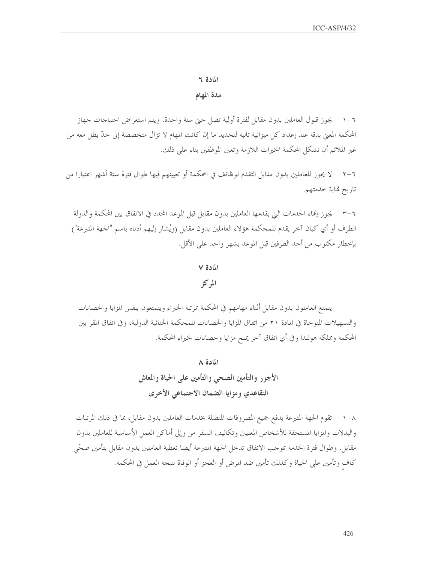#### المادة ٢

مدة المهام

٦–١ ٪ يجوز قبول العاملين بدون مقابل لفترة أولية تصل حتى سنة واحدة. ويتم استعراض احتياحات جهاز المحكمة المعنى بدقة عند إعداد كل ميزانية تالية لتحديد ما إن كانت المهام لا تزال متخصصة إلى حدّ يظل معه من غير الملائم أن تشكل المحكمة الحبرات اللازمة وتعين الموظفين بناء على ذلك.

لا يجوز للعاملين بدون مقابل التقدم لوظائف في المحكمة أو تعيينهم فيها طوال فترة ستة أشهر اعتبارا من  $Y - 7$ تاريخ نماية خدمتهم.

يجوز إنهاء الخدمات التي يقدمها العاملين بدون مقابل قبل الموعد المحدد في الاتفاق بين المحكمة والدولة  $r-\tau$ الطرف أو أي كيان آخر يقدم للمحكمة هؤلاء العاملين بدون مقابل (ويُشار إليهم أدناه باسم "الجهة المتبرعة") بإحطار مكتوب من أحد الطرفين قبل الموعد بشهر واحد على الأقل.

# المادة ٧ المركز

يتمتع العاملون بدون مقابل أثناء مهامهم في المحكمة بمرتبة الخبراء ويتمتعون بنفس المزايا والحصانات والتسهيلات المتوحاة في المادة ٢١ من اتفاق المزايا والحصانات للمحكمة الجنائية الدولية، وفي اتفاق المقر بين المحكمة ومملكة هولندا وفي أي اتفاق آخر يمنح مزايا وحصانات لخبراء المحكمة.

> المادة ٨ الأجور والتأمين الصحى والتأمين على الحياة والمعاش التقاعدي ومزايا الضمان الاجتماعي الأخرى

٨–١ تقوم الجهة المتبرعة بدفع جميع المصروفات المتصلة بخدمات العاملين بدون مقابل، بما في ذلك المرتبات والبدلات والمزايا المستحقة للأشخاص المعنيين وتكاليف السفر من وإلى أماكن العمل الأساسية للعاملين بدون مقابل. وطوال فترة الحدمة بموجب الاتفاق تدحل الجهة المتبرعة أيضا تغطية العاملين بدون مقابل بتأمين صحّى كاف وتأمين على الحياة وكذلك تأمين ضد المرض أو العجز أو الوفاة نتيجة العمل في المحكمة.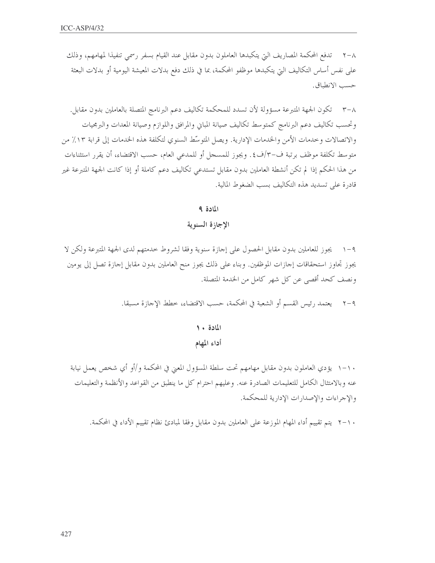٢–٢ تدفع المحكمة المصاريف التي يتكبدها العاملون بدون مقابل عند القيام بسفر رسمي تنفيذا لمهامهم، وذلك على نفس أساس التكاليف التيّ يتكبدها موظفو المحكمة، بما في ذلك دفع بدلات المعيشة اليومية أو بدلات البعثة حسب الانطباق.

٣-٨ تكون الجهة المتبرعة مسؤولة لأن تسدد للمحكمة تكاليف دعم البرنامج المتصلة بالعاملين بدون مقابل. وتحسب تكاليف دعم البرنامج كمتوسط تكاليف صيانة المبابي والمرافق واللوازم وصيانة المعدات والبرمجيات والاتصالات وحدمات الأمن والخدمات الإدارية. ويصل المتوسِّط السنوي لتكلفة هذه الخدمات إلى قرابة ١٣٪ من متوسط تكلفة موظف برتبة ف-٣/ف٤. ويجوز للمسجل أو للمدعى العام، حسب الاقتضاء، أن يقرر استثناءات من هذا الحكم إذا لم تكن أنشطة العاملين بدون مقابل تستدعي تكاليف دعم كاملة أو إذا كانت الجهة المتبرعة غير قادرة على تسديد هذه التكاليف بسب الضغوط المالية.

المادة ٩

الإجازة السنوية

٩–١ ٪ يجوز للعاملين بدون مقابل الحصول على إحازة سنوية وفقا لشروط حدمتهم لدى الجهة المتبرعة ولكن لا يجوز تحاوز استحقاقات إحازات الموظفين. وبناء على ذلك يجوز منح العاملين بدون مقابل إحازة تصل إلى يومين ونصف كحد أقصى عن كل شهر كامل من الخدمة المتصلة.

٢-٩ يعتمد رئيس القسم أو الشعبة في المحكمة، حسب الاقتضاء، خطط الإجازة مسبقا.

# المادة ١٠ أداء المهام

١٠-١ يؤدي العاملون بدون مقابل مهامهم تحت سلطة المسؤول المعين في المحكمة و/أو أي شخص يعمل نيابة عنه وبالامتثال الكامل للتعليمات الصادرة عنه. وعليهم احترام كل ما ينطبق من القواعد والأنظمة والتعليمات والإجراءات والإصدارات الإدارية للمحكمة.

٢٠١٠ يتم تقييم أداء المهام الموزعة على العاملين بدون مقابل وفقا لمبادئ نظام تقييم الأداء في المحكمة.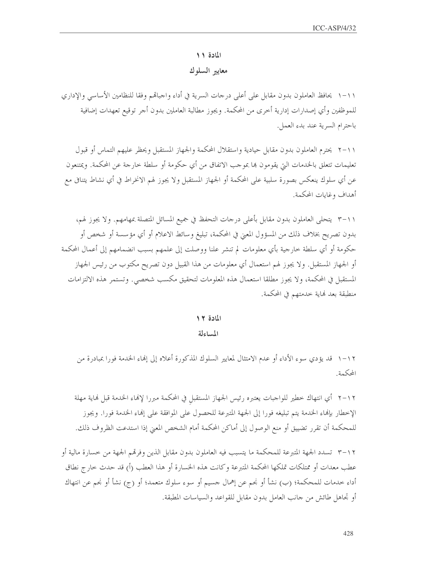#### المادة ١١

### معايير السلوك

١١-١ يحافظ العاملون بدون مقابل على أعلى درجات السرية في أداء واجبالهم وفقا للنظامين الأساسي والإداري للموظفين وأي إصدارات إدارية أخرى من المحكمة. ويجوز مطالبة العاملين بدون أجر توقيع تعهدات إضافية باحترام السرية عند بدء العمل.

٢ ١١-٢ يحترم العاملون بدون مقابل حيادية واستقلال المحكمة والجهاز المستقبل ويحظر عليهم التماس أو قبول تعليمات تتعلَّق بالحدمات التي يقومون بما بموجب الاتفاق من أي حكومة أو سلطة خارجة عن المحكمة. ويمتنعون عن أي سلوك ينعكس بصورة سلبية على المحكمة أو الجهاز المستقبل ولا يجوز لهم الانخراط في أي نشاط يتنافى مع أهداف وغايات المحكمة.

٢ ١١-٣ يتحلى العاملون بدون مقابل بأعلى درجات التحفظ في جميع المسائل المتصلة بمهامهم. ولا يجوز لهم، بدون تصريح بخلاف ذلك من المسؤول المعنى في المحكمة، تبليغ وسائط الاعلام أو أي مؤسسة أو شخص أو حكومة أو أي سلطة خارجية بأي معلومات لم تنشر علنا ووصلت إلى علمهم بسبب انضمامهم إلى أعمال المحكمة أو الجهاز المستقبل. ولا يجوز لهم استعمال أي معلومات من هذا القبيل دون تصريح مكتوب من رئيس الجهاز المستقبل في المحكمة، ولا يجوز مطلقا استعمال هذه المعلومات لتحقيق مكسب شخصي. وتستمر هذه الالتزامات منطبقة بعد نماية خدمتهم في المحكمة.

المادة ١٢

المساءلة

١٦-١ قد يؤدي سوء الأداء أو عدم الامتثال لمعايير السلوك المذكورة أعلاه إلى إنهاء الخدمة فورا بمبادرة من المحكمة.

٢ ١-٢ أي انتهاك خطير للواجبات يعتبره رئيس الجهاز المستقبل في المحكمة مبررا لإنماء الخدمة قبل نماية مهلة الإخطار بإنماء الخدمة يتم تبليغه فورا إلى الجهة المتبرعة للحصول على الموافقة على إنماء الخدمة فورا. ويجوز للمحكمة أن تقرر تضييق أو منع الوصول إلى أماكن المحكمة أمام الشخص المعنى إذا استدعت الظروف ذلك.

٢ ١-٣ تسدد الجهة المتبرعة للمحكمة ما يتسبب فيه العاملون بدون مقابل الذين وفرقمم الجهة من خسارة مالية أو عطب معدات أو ممتلكات تملكها المحكمة المتبرعة وكانت هذه الخسارة أو هذا العطب (أ) قد حدث حارج نطاق أداء خدمات للمحكمة؛ (ب) نشأ أو نجم عن إهمال جسيم أو سوء سلوك متعمد؛ أو (ج) نشأ أو نجم عن انتهاك أو تحاهل طائش من حانب العامل بدون مقابل للقواعد والسياسات المطبقة.